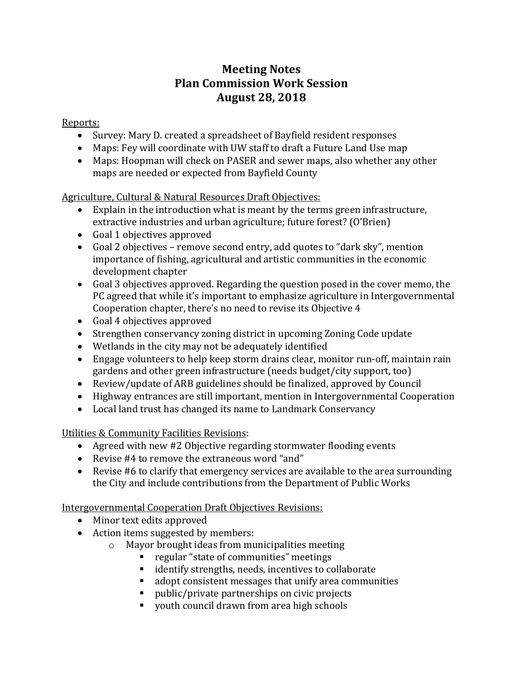## **Meeting Notes Plan Commission Work Session August 28, 2018**

Reports:

- Survey: Mary D. created a spreadsheet of Bayfield resident responses
- Maps: Fey will coordinate with UW staff to draft a Future Land Use map
- Maps: Hoopman will check on PASER and sewer maps, also whether any other maps are needed or expected from Bayfield County

Agriculture, Cultural & Natural Resources Draft Objectives:

- Explain in the introduction what is meant by the terms green infrastructure, extractive industries and urban agriculture; future forest? (O'Brien)
- Goal 1 objectives approved
- Goal 2 objectives remove second entry, add quotes to "dark sky", mention importance of fishing, agricultural and artistic communities in the economic development chapter
- Goal 3 objectives approved. Regarding the question posed in the cover memo, the PC agreed that while it's important to emphasize agriculture in Intergovernmental Cooperation chapter, there's no need to revise its Objective 4
- Goal 4 objectives approved
- Strengthen conservancy zoning district in upcoming Zoning Code update
- Wetlands in the city may not be adequately identified
- Engage volunteers to help keep storm drains clear, monitor run-off, maintain rain gardens and other green infrastructure (needs budget/city support, too)
- Review/update of ARB guidelines should be finalized, approved by Council
- Highway entrances are still important, mention in Intergovernmental Cooperation
- Local land trust has changed its name to Landmark Conservancy

Utilities & Community Facilities Revisions:

- Agreed with new #2 Objective regarding stormwater flooding events
- Revise #4 to remove the extraneous word "and"
- Revise #6 to clarify that emergency services are available to the area surrounding the City and include contributions from the Department of Public Works

Intergovernmental Cooperation Draft Objectives Revisions:

- Minor text edits approved
- Action items suggested by members:
	- o Mayor brought ideas from municipalities meeting
		- regular "state of communities" meetings
		- identify strengths, needs, incentives to collaborate
		- adopt consistent messages that unify area communities
		- public/private partnerships on civic projects
		- youth council drawn from area high schools